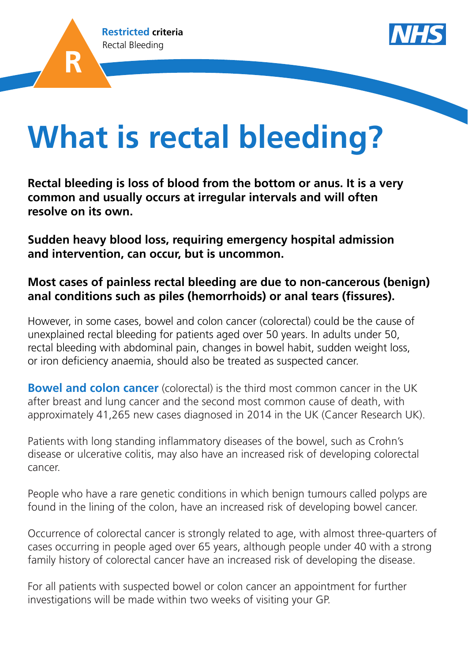



# **What is rectal bleeding?**

**Rectal bleeding is loss of blood from the bottom or anus. It is a very common and usually occurs at irregular intervals and will often resolve on its own.** 

**Sudden heavy blood loss, requiring emergency hospital admission and intervention, can occur, but is uncommon.** 

#### **Most cases of painless rectal bleeding are due to non-cancerous (benign) anal conditions such as piles (hemorrhoids) or anal tears (fissures).**

However, in some cases, bowel and colon cancer (colorectal) could be the cause of unexplained rectal bleeding for patients aged over 50 years. In adults under 50, rectal bleeding with abdominal pain, changes in bowel habit, sudden weight loss, or iron deficiency anaemia, should also be treated as suspected cancer.

**Bowel and colon cancer** (colorectal) is the third most common cancer in the UK after breast and lung cancer and the second most common cause of death, with approximately 41,265 new cases diagnosed in 2014 in the UK (Cancer Research UK).

Patients with long standing inflammatory diseases of the bowel, such as Crohn's disease or ulcerative colitis, may also have an increased risk of developing colorectal cancer.

People who have a rare genetic conditions in which benign tumours called polyps are found in the lining of the colon, have an increased risk of developing bowel cancer.

Occurrence of colorectal cancer is strongly related to age, with almost three-quarters of cases occurring in people aged over 65 years, although people under 40 with a strong family history of colorectal cancer have an increased risk of developing the disease.

For all patients with suspected bowel or colon cancer an appointment for further investigations will be made within two weeks of visiting your GP.